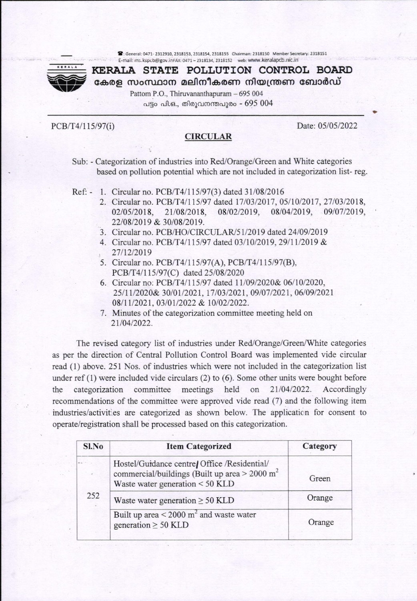8: General: 0471-2312910, 2318153, 2318154, 2318155 Chairman: 2318150 Member Secretary: 2318151 E-mail: ms.kspcb@gov.inFAx: 0471 - 2318134, 2318152 web: www.keralapcb.nic.in



**KERALA STATE POLLUTION CONTROL BOARD** കേരള സംസ്ഥാന മലിനീകരണ നിയന്ത്രണ ബോർഡ്

> Pattom P.O., Thiruvananthapuram - 695 004 പട്ടം പി.ഒ., തിരുവനന്തപുരം - 695 004

PCB/T4/115/97(i)

# **CIRCULAR**

Date: 05/05/2022

- Sub: Categorization of industries into Red/Orange/Green and White categories based on pollution potential which are not included in categorization list-reg.
- Ref: 1. Circular no. PCB/T4/115/97(3) dated 31/08/2016
	- 2. Circular no. PCB/T4/115/97 dated 17/03/2017, 05/10/2017, 27/03/2018, 08/04/2019, 02/05/2018. 21/08/2018. 08/02/2019.  $-09/07/2019$ , 22/08/2019 & 30/08/2019.
	- 3. Circular no. PCB/HO/CIRCULAR/51/2019 dated 24/09/2019
	- 4. Circular no. PCB/T4/115/97 dated 03/10/2019, 29/11/2019 & 27/12/2019
	- 5. Circular no. PCB/T4/115/97(A), PCB/T4/115/97(B), PCB/T4/115/97(C) dated 25/08/2020
	- 6. Circular no: PCB/T4/115/97 dated 11/09/2020& 06/10/2020, 25/11/2020& 30/01/2021, 17/03/2021, 09/07/2021, 06/09/2021 08/11/2021.03/01/2022 & 10/02/2022.
	- 7. Minutes of the categorization committee meeting held on 21/04/2022.

The revised category list of industries under Red/Orange/Green/White categories as per the direction of Central Pollution Control Board was implemented vide circular read (1) above. 251 Nos. of industries which were not included in the categorization list under ref  $(1)$  were included vide circulars  $(2)$  to  $(6)$ . Some other units were bought before the categorization committee meetings held on 21/04/2022. Accordingly recommendations of the committee were approved vide read (7) and the following item industries/activities are categorized as shown below. The application for consent to operate/registration shall be processed based on this categorization.

| <b>Item Categorized</b>                                                                                                                        | Category |
|------------------------------------------------------------------------------------------------------------------------------------------------|----------|
| Hostel/Guidance centre/ Office /Residential/<br>commercial/buildings (Built up area $>$ 2000 m <sup>2</sup><br>Waste water generation < 50 KLD | Green    |
| Waste water generation $\geq 50$ KLD                                                                                                           | Orange   |
| Built up area $\leq$ 2000 m <sup>2</sup> and waste water<br>generation $\geq$ 50 KLD                                                           | Orange   |
|                                                                                                                                                |          |